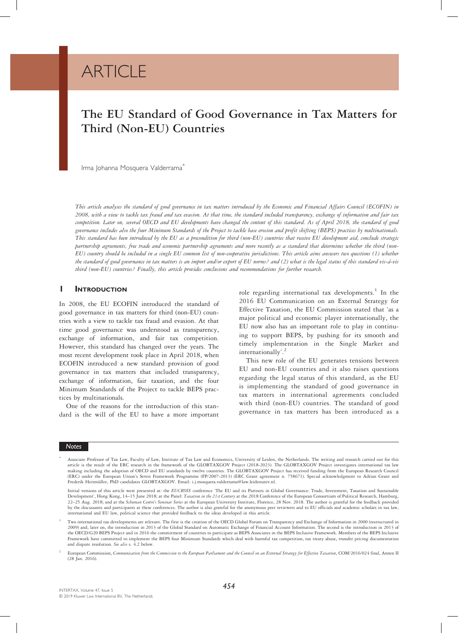# **ARTICLE**

## The EU Standard of Good Governance in Tax Matters for Third (Non-EU) Countries

Irma Johanna Mosquera Valderrama<sup>\*</sup>

This article analyses the standard of good governance in tax matters introduced by the Economic and Financial Affairs Council (ECOFIN) in 2008, with a view to tackle tax fraud and tax evasion. At that time, the standard included transparency, exchange of information and fair tax competition. Later on, several OECD and EU developments have changed the content of this standard. As of April 2018, the standard of good governance includes also the four Minimum Standards of the Project to tackle base erosion and profit shifting (BEPS) practices by multinationals. This standard has been introduced by the EU as a precondition for third (non-EU) countries that receive EU development aid, conclude strategic partnership agreements, free trade and economic partnership agreements and more recently as a standard that determines whether the third (non-EU) country should be included in a single EU common list of non-cooperative jurisdictions. This article aims answers two questions (1) whether the standard of good governance in tax matters is an import and/or export of EU norms? and (2) what is the legal status of this standard vis-á-vis third (non-EU) countries? Finally, this article provides conclusions and recommendations for further research.

#### **I** INTRODUCTION

In 2008, the EU ECOFIN introduced the standard of good governance in tax matters for third (non-EU) countries with a view to tackle tax fraud and evasion. At that time good governance was understood as transparency, exchange of information, and fair tax competition. However, this standard has changed over the years. The most recent development took place in April 2018, when ECOFIN introduced a new standard provision of good governance in tax matters that included transparency, exchange of information, fair taxation, and the four Minimum Standards of the Project to tackle BEPS practices by multinationals.

One of the reasons for the introduction of this standard is the will of the EU to have a more important

role regarding international tax developments.<sup>1</sup> In the 2016 EU Communication on an External Strategy for Effective Taxation, the EU Commission stated that 'as a major political and economic player internationally, the EU now also has an important role to play in continuing to support BEPS, by pushing for its smooth and timely implementation in the Single Market and internationally'. 2

This new role of the EU generates tensions between EU and non-EU countries and it also raises questions regarding the legal status of this standard, as the EU is implementing the standard of good governance in tax matters in international agreements concluded with third (non-EU) countries. The standard of good governance in tax matters has been introduced as a

<sup>\*</sup> Associate Professor of Tax Law, Faculty of Law, Institute of Tax Law and Economics, University of Leiden, the Netherlands. The writing and research carried out for this article is the result of the ERC research in the fr making including the adoption of OECD and EU standards by twelve countries. The GLOBTAXGOV Project has received funding from the European Research Council under the European Union's Seven Framework Programme (FP/2007-2013) (ERC Grant agreement n. 758671). Special acknowledgment to Adrian Grant and Frederik Heitmüller, PhD candidates GLOBTAXGOV. Email: i.j.mosquera.valderrama@law.leidenuniv.nl.

Initial versions of this article were presented at: the EUCROSS conference 'The EU and its Partners in Global Governance: Trade, Investment, Taxation and Sustainable Development', Hong Kong, 14-15 June 2018; at the Panel: Taxation in the 21st Century at the 2018 Conference of the European Consortium of Political Research, Hamburg, 22-25 Aug. 2018; and at the Schuman Centre's Seminar Series at the European University Institute, Florence, 28 Nov. 2018. The author is grateful for the feedback provided by the discussants and participants at these conferences. The author is also grateful for the anonymous peer reviewers and to EU officials and academic scholars in tax law, international and EU law, political science that provided feedback to the ideas developed in this article.

Two international tax developments are relevant. The first is the creation of the OECD Global Forum on Transparency and Exchange of Information in 2000 (restructured in 2000) and, later on, the introduction in 2013 of the the OECD/G20 BEPS Project and in 2016 the commitment of countries to participate as BEPS Associates in the BEPS Inclusive Framework. Members of the BEPS Inclusive Framework have committed to implement the BEPS four Minimum Standards which deal with harmful tax competition, tax treaty abuse, transfer pricing documentation and dispute resolution. See also s. 4.2 below

European Commission, Communication from the Commission to the European Parliament and the Council on an External Strategy for Effective Taxation, COM/2016/024 final, Annex II (28 Jan. 2016).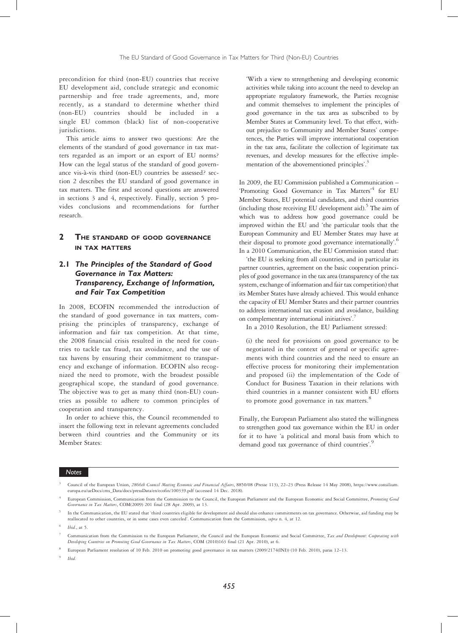precondition for third (non-EU) countries that receive EU development aid, conclude strategic and economic partnership and free trade agreements, and, more recently, as a standard to determine whether third (non-EU) countries should be included in a single EU common (black) list of non-cooperative jurisdictions.

This article aims to answer two questions: Are the elements of the standard of good governance in tax matters regarded as an import or an export of EU norms? How can the legal status of the standard of good governance vis-à-vis third (non-EU) countries be assessed? section 2 describes the EU standard of good governance in tax matters. The first and second questions are answered in sections 3 and 4, respectively. Finally, section 5 provides conclusions and recommendations for further research.

## 2 THE STANDARD OF GOOD GOVERNANCE IN TAX MATTERS

## 2.1 The Principles of the Standard of Good Governance in Tax Matters: Transparency, Exchange of Information, and Fair Tax Competition

In 2008, ECOFIN recommended the introduction of the standard of good governance in tax matters, comprising the principles of transparency, exchange of information and fair tax competition. At that time, the 2008 financial crisis resulted in the need for countries to tackle tax fraud, tax avoidance, and the use of tax havens by ensuring their commitment to transparency and exchange of information. ECOFIN also recognized the need to promote, with the broadest possible geographical scope, the standard of good governance. The objective was to get as many third (non-EU) countries as possible to adhere to common principles of cooperation and transparency.

In order to achieve this, the Council recommended to insert the following text in relevant agreements concluded between third countries and the Community or its Member States:

'With a view to strengthening and developing economic activities while taking into account the need to develop an appropriate regulatory framework, the Parties recognise and commit themselves to implement the principles of good governance in the tax area as subscribed to by Member States at Community level. To that effect, without prejudice to Community and Member States' competences, the Parties will improve international cooperation in the tax area, facilitate the collection of legitimate tax revenues, and develop measures for the effective implementation of the abovementioned principles'. 3

In 2009, the EU Commission published a Communication – 'Promoting Good Governance in Tax Matters'<sup>4</sup> for EU Member States, EU potential candidates, and third countries (including those receiving EU development aid).<sup>5</sup> The aim of which was to address how good governance could be improved within the EU and 'the particular tools that the European Community and EU Member States may have at their disposal to promote good governance internationally'.<sup>6</sup> In a 2010 Communication, the EU Commission stated that:

'the EU is seeking from all countries, and in particular its partner countries, agreement on the basic cooperation principles of good governance in the tax area (transparency of the tax system, exchange of information and fair tax competition) that its Member States have already achieved. This would enhance the capacity of EU Member States and their partner countries to address international tax evasion and avoidance, building on complementary international initiatives'.<sup>7</sup>

In a 2010 Resolution, the EU Parliament stressed:

(i) the need for provisions on good governance to be negotiated in the context of general or specific agreements with third countries and the need to ensure an effective process for monitoring their implementation and proposed (ii) the implementation of the Code of Conduct for Business Taxation in their relations with third countries in a manner consistent with EU efforts to promote good governance in tax matters.<sup>8</sup>

Finally, the European Parliament also stated the willingness to strengthen good tax governance within the EU in order for it to have 'a political and moral basis from which to demand good tax governance of third countries'.<sup>9</sup>

<sup>3</sup> Council of the European Union, 2866th Council Meeting Economic and Financial Affairs, 8850/08 (Presse 113), 22–23 (Press Release 14 May 2008), https://www.consilium. europa.eu/ueDocs/cms\_Data/docs/pressData/en/ecofin/100339.pdf (accessed 14 Dec. 2018).

European Commission, Communication from the Commission to the Council, the European Parliament and the European Economic and Social Committee, Promoting Good Governance in Tax Matters, COM(2009) 201 final (28 Apr. 2009), at 13.

In the Communication, the EU stated that 'third countries eligible for development aid should also enhance commitments on tax governance. Otherwise, aid funding may be reallocated to other countries, or in some cases even canceled'. Communication from the Commission, supra n. 4, at 12.

Ibid., at 5.

Communication from the Commission to the European Parliament, the Council and the European Economic and Social Committee, Tax and Development: Cooperating with Developing Countries on Promoting Good Governance in Tax Matters, COM (2010)163 final (21 Apr. 2010), at 6.

<sup>8</sup> European Parliament resolution of 10 Feb. 2010 on promoting good governance in tax matters (2009/2174(INI)) (10 Feb. 2010), paras 12–13.

<sup>9</sup> Ibid.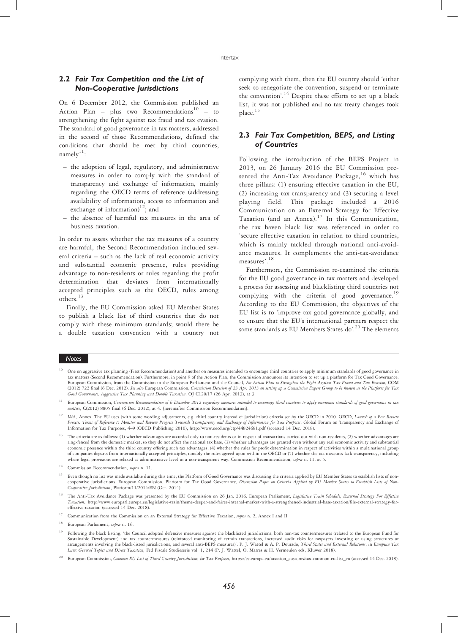## 2.2 Fair Tax Competition and the List of Non-Cooperative Jurisdictions

On 6 December 2012, the Commission published an Action Plan – plus two Recommendations $10$  – to strengthening the fight against tax fraud and tax evasion. The standard of good governance in tax matters, addressed in the second of those Recommendations, defined the conditions that should be met by third countries, namely $11$ :

- the adoption of legal, regulatory, and administrative measures in order to comply with the standard of transparency and exchange of information, mainly regarding the OECD terms of reference (addressing availability of information, access to information and exchange of information)<sup>12</sup>; and
- the absence of harmful tax measures in the area of business taxation.

In order to assess whether the tax measures of a country are harmful, the Second Recommendation included several criteria – such as the lack of real economic activity and substantial economic presence, rules providing advantage to non-residents or rules regarding the profit determination that deviates from internationally accepted principles such as the OECD, rules among others.<sup>13</sup>

Finally, the EU Commission asked EU Member States to publish a black list of third countries that do not comply with these minimum standards; would there be a double taxation convention with a country not

complying with them, then the EU country should 'either seek to renegotiate the convention, suspend or terminate the convention'.<sup>14</sup> Despite these efforts to set up a black list, it was not published and no tax treaty changes took place.<sup>15</sup>

## 2.3 Fair Tax Competition, BEPS, and Listing of Countries

Following the introduction of the BEPS Project in 2013, on 26 January 2016 the EU Commission presented the Anti-Tax Avoidance Package,<sup>16</sup> which has three pillars: (1) ensuring effective taxation in the EU, (2) increasing tax transparency and (3) securing a level playing field. This package included a 2016 Communication on an External Strategy for Effective Taxation (and an Annex).<sup>17</sup> In this Communication, the tax haven black list was referenced in order to 'secure effective taxation in relation to third countries, which is mainly tackled through national anti-avoidance measures. It complements the anti-tax-avoidance measures'. 18

Furthermore, the Commission re-examined the criteria for the EU good governance in tax matters and developed a process for assessing and blacklisting third countries not complying with the criteria of good governance.<sup>19</sup> According to the EU Commission, the objectives of the EU list is to 'improve tax good governance globally, and to ensure that the EU's international partners respect the same standards as EU Members States do'.<sup>20</sup> The elements

- <sup>10</sup> One on aggressive tax planning (First Recommendation) and another on measures intended to encourage third countries to apply minimum standards of good governance in tax matters (Second Recommendation). Furthermore, in point 9 of the Action Plan, the Commission announces its intention to set up a platform for Tax Good Governance.<br>European Commission, from the Commission to the European (2012) 722 final (6 Dec. 2012). See also European Commission, Commission Decision of 23 Apr. 2013 on setting up a Commission Expert Group to be known as the Platform for Tax Good Governance, Aggressive Tax Planning and Double Taxation, OJ C120/17 (26 Apr. 2013), at 3.
- <sup>11</sup> European Commission, Commission Recommendation of 6 December 2012 regarding measures intended to encourage third countries to apply minimum standards of good governance in tax matters, C(2012) 8805 final (6 Dec. 2012), at 4. [hereinafter Commission Recommendation].
- <sup>12</sup> Ibid., Annex. The EU uses (with some wording adjustments, e.g. third country instead of jurisdiction) criteria set by the OECD in 2010. OECD, Launch of a Peer Review Process: Terms of Reference to Monitor and Review Progress Towards Transparency and Exchange of Information for Tax Purposes, Global Forum on Transparency and Exchange of Information for Tax Purposes, 4–9 (OECD Publishing 2010), http://www.oecd.org/ctp/44824681.pdf (accessed 14 Dec. 2018).
- <sup>13</sup> The criteria are as follows: (1) whether advantages are accorded only to non-residents or in respect of transactions carried out with non-residents, (2) whether advantages are ring-fenced from the domestic market, so they do not affect the national tax base, (3) whether advantages are granted even without any real economic activity and substantial economic presence within the third country offering such tax advantages, (4) whether the rules for profit determination in respect of activities within a multinational group<br>of companies departs from internationally accept where legal provisions are relaxed at administrative level in a non-transparent way. Commission Recommendation, supra n. 11, at 5.

- <sup>15</sup> Even though no list was made available during this time, the Platform of Good Governance was discussing the criteria applied by EU Member States to establish lists of noncooperative jurisdictions. European Commission, Platform for Tax Good Governance, Discussion Paper on Criteria Applied by EU Member States to Establish Lists of Non-Cooperative Jurisdictions, Platform/11/2014/EN (Oct. 2014).
- <sup>16</sup> The Anti-Tax Avoidance Package was presented by the EU Commission on 26 Jan. 2016. European Parliament, Legislative Train Schedule, External Strategy For Effective Taxation, http://www.europarl.europa.eu/legislative-train/theme-deeper-and-fairer-internal-market-with-a-strengthened-industrial-base-taxation/file-external-strategy-foreffective-taxation (accessed 14 Dec. 2018).
- Communication from the Commission on an External Strategy for Effective Taxation, supra n. 2, Annex I and II.
- European Parliament, supra n. 16.
- <sup>19</sup> Following the black listing, 'the Council adopted defensive measures against the blacklisted jurisdictions, both non-tax countermeasures (related to the European Fund for Sustainable Development) and tax countermeasures (reinforced monitoring of certain transactions, increased audit risks for taxpayers investing or using structures or<br>arrangements involving the black-listed jurisdictions, a Law: General Topics and Direct Taxation, Fed Fiscale Studieserie vol. 1, 214 (P. J. Wattel, O. Marres & H. Vermeulen eds, Kluwer 2018).
- <sup>20</sup> European Commission, Common EU List of Third Country Jurisdictions for Tax Purposes, https://ec.europa.eu/taxation\_customs/tax-common-eu-list\_en (accessed 14 Dec. 2018).

<sup>&</sup>lt;sup>14</sup> Commission Recommendation,  $\textit{supra}$  n. 11.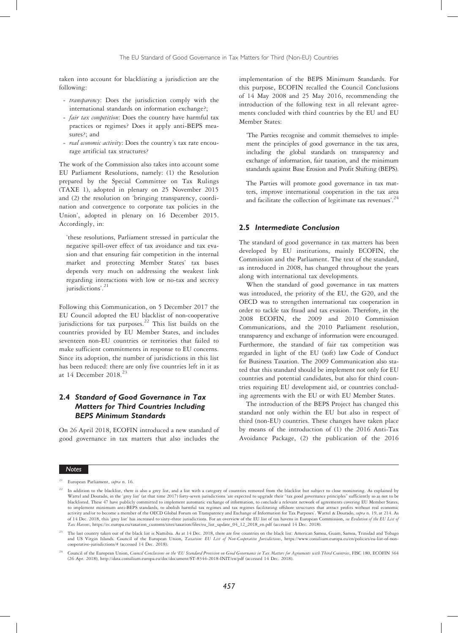taken into account for blacklisting a jurisdiction are the following:

- transparency: Does the jurisdiction comply with the international standards on information exchange?;
- fair tax competition: Does the country have harmful tax practices or regimes? Does it apply anti-BEPS measures?; and
- *real economic activity*: Does the country's tax rate encourage artificial tax structures?

The work of the Commission also takes into account some EU Parliament Resolutions, namely: (1) the Resolution prepared by the Special Committee on Tax Rulings (TAXE 1), adopted in plenary on 25 November 2015 and (2) the resolution on 'bringing transparency, coordination and convergence to corporate tax policies in the Union', adopted in plenary on 16 December 2015. Accordingly, in:

'these resolutions, Parliament stressed in particular the negative spill-over effect of tax avoidance and tax evasion and that ensuring fair competition in the internal market and protecting Member States' tax bases depends very much on addressing the weakest link regarding interactions with low or no-tax and secrecy jurisdictions'. 21

Following this Communication, on 5 December 2017 the EU Council adopted the EU blacklist of non-cooperative jurisdictions for tax purposes.<sup>22</sup> This list builds on the countries provided by EU Member States, and includes seventeen non-EU countries or territories that failed to make sufficient commitments in response to EU concerns. Since its adoption, the number of jurisdictions in this list has been reduced: there are only five countries left in it as at 14 December 2018.<sup>23</sup>

## 2.4 Standard of Good Governance in Tax Matters for Third Countries Including BEPS Minimum Standards

On 26 April 2018, ECOFIN introduced a new standard of good governance in tax matters that also includes the

implementation of the BEPS Minimum Standards. For this purpose, ECOFIN recalled the Council Conclusions of 14 May 2008 and 25 May 2016, recommending the introduction of the following text in all relevant agreements concluded with third countries by the EU and EU Member States:

'The Parties recognise and commit themselves to implement the principles of good governance in the tax area, including the global standards on transparency and exchange of information, fair taxation, and the minimum standards against Base Erosion and Profit Shifting (BEPS).

The Parties will promote good governance in tax matters, improve international cooperation in the tax area and facilitate the collection of legitimate tax revenues'.<sup>24</sup>

#### 2.5 Intermediate Conclusion

The standard of good governance in tax matters has been developed by EU institutions, mainly ECOFIN, the Commission and the Parliament. The text of the standard, as introduced in 2008, has changed throughout the years along with international tax developments.

When the standard of good governance in tax matters was introduced, the priority of the EU, the G20, and the OECD was to strengthen international tax cooperation in order to tackle tax fraud and tax evasion. Therefore, in the 2008 ECOFIN, the 2009 and 2010 Commission Communications, and the 2010 Parliament resolution, transparency and exchange of information were encouraged. Furthermore, the standard of fair tax competition was regarded in light of the EU (soft) law Code of Conduct for Business Taxation. The 2009 Communication also stated that this standard should be implement not only for EU countries and potential candidates, but also for third countries requiring EU development aid, or countries concluding agreements with the EU or with EU Member States.

The introduction of the BEPS Project has changed this standard not only within the EU but also in respect of third (non-EU) countries. These changes have taken place by means of the introduction of (1) the 2016 Anti-Tax Avoidance Package, (2) the publication of the 2016

European Parliament, supra n. 16.

<sup>22</sup> In addition to the blacklist, there is also a grey list, and a list with a category of countries removed from the blacklist but subject to close monitoring. As explained by Wattel and Dourado, in the 'grey list' (at that time 2017) forty-seven jurisdictions 'are expected to upgrade their "tax good governance principles" sufficiently so as not to be blacklisted. These 47 have publicly committed to implement automatic exchange of information, to conclude a relevant network of agreements covering EU Member States, to implement minimum anti-BEPS standards, to abolish harmful tax regimes and tax regimes facilitating offshore structures that attract profits without real economic activity and/or to become a member of the OECD Global Forum on Transparency and Exchange of Information for Tax Purposes'. Wattel & Dourado, supra n. 19, at 214. As of 14 Dec. 2018, this 'grey list' has increased to sixty-three jurisdictions. For an overview of the EU list of tax havens in European Commission, see Evolution of the EU List of Tax Havens, https://ec.europa.eu/taxation\_customs/sites/taxation/files/eu\_list\_update\_04\_12\_2018\_en.pdf (accessed 14 Dec. 2018).

<sup>23</sup> The last country taken out of the black list is Namibia. As at 14 Dec. 2018, there are five countries on the black list: American Samoa, Guam, Samoa, Trinidad and Tobago and US Virgin Islands. Council of the European Union, Taxation: EU List of Non-Cooperative Jurisdictions, https://www.consilium.europa.eu/en/policies/eu-list-of-noncooperative-jurisdictions/# (accessed 14 Dec. 2018).

<sup>&</sup>lt;sup>24</sup> Council of the European Union, Council Conclusions on the 'EU Standard Provision on Good Governance in Tax Matters for Agreements with Third Countries, FISC 180, ECOFIN 364 (26 Apr. 2018), http://data.consilium.europa.eu/doc/document/ST-8344-2018-INIT/en/pdf (accessed 14 Dec. 2018).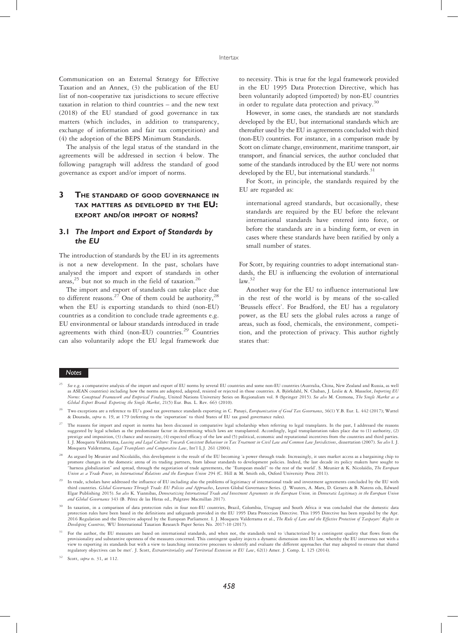Communication on an External Strategy for Effective Taxation and an Annex, (3) the publication of the EU list of non-cooperative tax jurisdictions to secure effective taxation in relation to third countries – and the new text (2018) of the EU standard of good governance in tax matters (which includes, in addition to transparency, exchange of information and fair tax competition) and (4) the adoption of the BEPS Minimum Standards.

The analysis of the legal status of the standard in the agreements will be addressed in section 4 below. The following paragraph will address the standard of good governance as export and/or import of norms.

## 3 THE STANDARD OF GOOD GOVERNANCE IN TAX MATTERS AS DEVELOPED BY THE EU: EXPORT AND/OR IMPORT OF NORMS?

## 3.1 The Import and Export of Standards by the EU

The introduction of standards by the EU in its agreements is not a new development. In the past, scholars have analysed the import and export of standards in other areas, $^{25}$  but not so much in the field of taxation.<sup>26</sup>

The import and export of standards can take place due to different reasons.<sup>27</sup> One of them could be authority,<sup>28</sup> when the EU is exporting standards to third (non-EU) countries as a condition to conclude trade agreements e.g. EU environmental or labour standards introduced in trade agreements with third (non-EU) countries.<sup>29</sup> Countries can also voluntarily adopt the EU legal framework due

to necessity. This is true for the legal framework provided in the EU 1995 Data Protection Directive, which has been voluntarily adopted (imported) by non-EU countries in order to regulate data protection and privacy.<sup>30</sup>

However, in some cases, the standards are not standards developed by the EU, but international standards which are thereafter used by the EU in agreements concluded with third (non-EU) countries. For instance, in a comparison made by Scott on climate change, environment, maritime transport, air transport, and financial services, the author concluded that some of the standards introduced by the EU were not norms developed by the EU, but international standards. $31$ 

For Scott, in principle, the standards required by the EU are regarded as:

international agreed standards, but occasionally, these standards are required by the EU before the relevant international standards have entered into force, or before the standards are in a binding form, or even in cases where these standards have been ratified by only a small number of states.

For Scott, by requiring countries to adopt international standards, the EU is influencing the evolution of international law.<sup>32</sup>

Another way for the EU to influence international law in the rest of the world is by means of the so-called 'Brussels effect'. For Bradford, the EU has a regulatory power, as the EU sets the global rules across a range of areas, such as food, chemicals, the environment, competition, and the protection of privacy. This author rightly states that:

- Two exceptions are a reference to EU's good tax governance standards exporting in C. Panayi, Europeanization of Good Tax Governance, 36(1) Y.B. Eur. L. 442 (2017); Wattel & Dourado, supra n. 19, at 179 (referring to the 'exportation' to third States of EU tax good governance rules).
- <sup>27</sup> The reasons for import and export in norms has been discussed in comparative legal scholarship when referring to legal transplants. In the past, I addressed the reasons suggested by legal scholars as the predominant factor in determining which laws are transplanted. Accordingly, legal transplantation takes place due to (1) authority, (2) prestige and imposition, (3) chance and necessity, (4) expected efficacy of the law and (5) political, economic and reputational incentives from the countries and third parties. I. J. Mosquera Valderrama, Leasing and Legal Culture: Towards Consistent Behaviour in Tax Treatment in Civil Law and Common Law Jurisdictions, dissertation (2007). See also I. J. Mosquera Valderrama, Legal Transplants and Comparative Law, Int'l L.J. 261 (2004).
- <sup>28</sup> As argued by Meunier and Nicolaïdis, this development is the result of the EU becoming 'a power through trade. Increasingly, it uses market access as a bargaining chip to promote changes in the domestic arena of its trading partners, from labour standards to development policies. Indeed, the last decade its policy makers have sought to "harness globalization" and spread, through the negotiation of trade agreements, the "European model" to the rest of the world'. S. Meunier & K. Nicolaïdis, The European<br>Union as a Trade Power, in International Relations a
- <sup>29</sup> In trade, scholars have addressed the influence of EU including also the problems of legitimacy of international trade and investment agreements concluded by the EU with third countries. Global Governance Through Trade: EU Policies and Approaches, Leuven Global Governance Series. (J. Wouters, A. Marx, D. Geraets & B. Natens eds, Edward<br>Elgar Publishing 2015). See also K. Yiannibas, Democra and Global Governance 343 (B. Pérez de las Heras ed., Palgrave Macmillan 2017).
- <sup>30</sup> In taxation, in a comparison of data protection rules in four non-EU countries, Brazil, Colombia, Uruguay and South Africa it was concluded that the domestic data protection rules have been based in the definitions and safeguards provided in the EU 1995 Data Protection Directive. This 1995 Directive has been repealed by the Apr.<br>2016 Regulation and the Directive adopted by the Europ Developing Countries, WU International Taxation Research Paper Series No. 2017-10 (2017).
- <sup>31</sup> For the author, the EU measures are based on international standards, and when not, the standards tend to 'characterized by a contingent quality that flows from the provisionality and substantive openness of the measures concerned. This contingent quality injects a dynamic dimension into EU law, whereby the EU intervenes not with a<br>view to exporting its standards but with a view to la regulatory objectives can be met'. J. Scott, Extraterritoriality and Territorial Extension in EU Law, 62(1) Amer. J. Comp. L. 125 (2014).

See e.g. a comparative analysis of the import and export of EU norms by several EU countries and some non-EU countries (Australia, China, New Zealand and Russia, as well as ASEAN countries) including how the norms are adopted, adapted, resisted or rejected in those countries. A. Björkdahl, N. Chaban, J. Leslie & A. Masselot, Importing EU Norms: Conceptual Framework and Empirical Finding, United Nations University Series on Regionalism vol. 8 (Springer 2015). See also M. Cremona, The Single Market as a Global Export Brand: Exporting the Single Market, 21(5) Eur. Bus. L. Rev. 663 (2010).

 $32$  Scott, *supra* n. 31, at 112.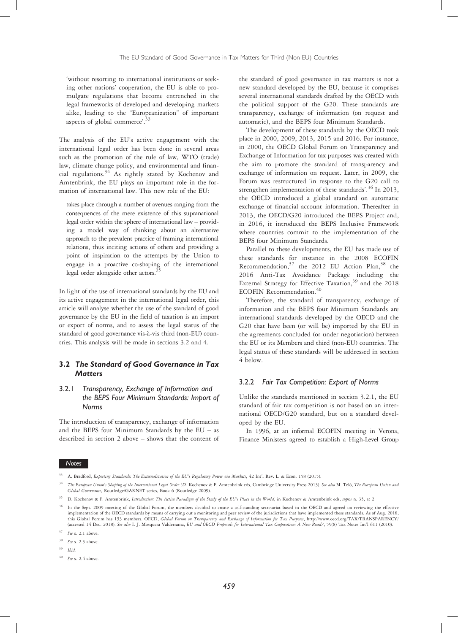'without resorting to international institutions or seeking other nations' cooperation, the EU is able to promulgate regulations that become entrenched in the legal frameworks of developed and developing markets alike, leading to the "Europeanization" of important aspects of global commerce'.<sup>33</sup>

The analysis of the EU's active engagement with the international legal order has been done in several areas such as the promotion of the rule of law, WTO (trade) law, climate change policy, and environmental and financial regulations.34 As rightly stated by Kochenov and Amtenbrink, the EU plays an important role in the formation of international law. This new role of the EU:

takes place through a number of avenues ranging from the consequences of the mere existence of this supranational legal order within the sphere of international law – providing a model way of thinking about an alternative approach to the prevalent practice of framing international relations, thus inciting actions of others and providing a point of inspiration to the attempts by the Union to engage in a proactive co-shaping of the international legal order alongside other actors.<sup>5</sup>

In light of the use of international standards by the EU and its active engagement in the international legal order, this article will analyse whether the use of the standard of good governance by the EU in the field of taxation is an import or export of norms, and to assess the legal status of the standard of good governance vis-à-vis third (non-EU) countries. This analysis will be made in sections 3.2 and 4.

## 3.2 The Standard of Good Governance in Tax **Matters**

## 3.2.1 Transparency, Exchange of Information and the BEPS Four Minimum Standards: Import of Norms

The introduction of transparency, exchange of information and the BEPS four Minimum Standards by the EU – as described in section 2 above – shows that the content of

the standard of good governance in tax matters is not a new standard developed by the EU, because it comprises several international standards drafted by the OECD with the political support of the G20. These standards are transparency, exchange of information (on request and automatic), and the BEPS four Minimum Standards.

The development of these standards by the OECD took place in 2000, 2009, 2013, 2015 and 2016. For instance, in 2000, the OECD Global Forum on Transparency and Exchange of Information for tax purposes was created with the aim to promote the standard of transparency and exchange of information on request. Later, in 2009, the Forum was restructured 'in response to the G20 call to strengthen implementation of these standards'.<sup>36</sup> In 2013, the OECD introduced a global standard on automatic exchange of financial account information. Thereafter in 2013, the OECD/G20 introduced the BEPS Project and, in 2016, it introduced the BEPS Inclusive Framework where countries commit to the implementation of the BEPS four Minimum Standards.

Parallel to these developments, the EU has made use of these standards for instance in the 2008 ECOFIN Recommendation, $37$  the 2012 EU Action Plan,  $38$  the 2016 Anti-Tax Avoidance Package including the External Strategy for Effective Taxation,<sup>39</sup> and the 2018 ECOFIN Recommendation.<sup>40</sup>

Therefore, the standard of transparency, exchange of information and the BEPS four Minimum Standards are international standards developed by the OECD and the G20 that have been (or will be) imported by the EU in the agreements concluded (or under negotiation) between the EU or its Members and third (non-EU) countries. The legal status of these standards will be addressed in section 4 below.

#### 3.2.2 Fair Tax Competition: Export of Norms

Unlike the standards mentioned in section 3.2.1, the EU standard of fair tax competition is not based on an international OECD/G20 standard, but on a standard developed by the EU.

In 1996, at an informal ECOFIN meeting in Verona, Finance Ministers agreed to establish a High-Level Group

#### Notes

See s. 2.4 above.

<sup>33</sup> A. Bradford, Exporting Standards: The Externalization of the EU's Regulatory Power via Markets, 42 Int'l Rev. L. & Econ. 158 (2015).

The European Union's Shaping of the International Legal Order (D. Kochenov & F. Amtenbrink eds, Cambridge University Press 2013). See also M. Telò, The European Union and Global Governance, Routledge/GARNET series, Book 6 (Routledge 2009).

<sup>&</sup>lt;sup>35</sup> D. Kochenov & F. Amtenbrink, Introduction: The Active Paradigm of the Study of the EU's Place in the World, in Kochenov & Amtenbrink eds, supra n. 35, at 2.

In the Sept. 2009 meeting of the Global Forum, the members decided to create a self-standing secretariat based in the OECD and agreed on reviewing the effective implementation of the OECD standards by means of carrying out a monitoring and peer review of the jurisdictions that have implemented these standards. As of Aug. 2018.<br>this Global Forum has 153 members. OECD, Global Forum (accessed 14 Dec. 2018). See also I. J. Mosquera Valderrama, EU and OECD Proposals for International Tax Cooperation: A New Road?, 59(8) Tax Notes Int'l 611 (2010).

See s. 2.1 above.

See s. 2.3 above

<sup>39</sup> Ibid.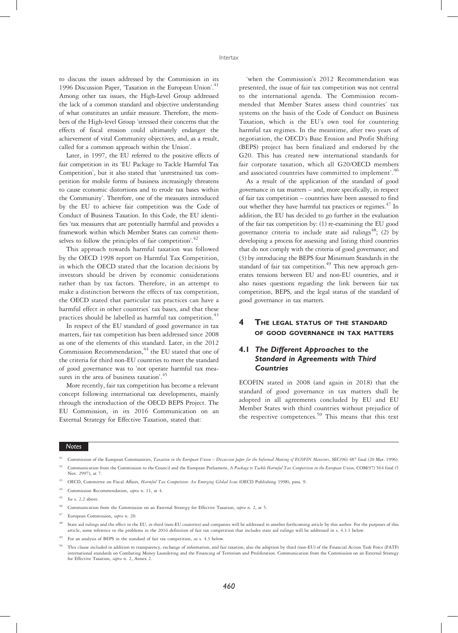to discuss the issues addressed by the Commission in its 1996 Discussion Paper, 'Taxation in the European Union'. 41 Among other tax issues, the High-Level Group addressed the lack of a common standard and objective understanding of what constitutes an unfair measure. Therefore, the members of the High-level Group 'stressed their concerns that the effects of fiscal erosion could ultimately endanger the achievement of vital Community objectives, and, as a result, called for a common approach within the Union'.

Later, in 1997, the EU referred to the positive effects of fair competition in its 'EU Package to Tackle Harmful Tax Competition', but it also stated that 'unrestrained tax competition for mobile forms of business increasingly threatens to cause economic distortions and to erode tax bases within the Community'. Therefore, one of the measures introduced by the EU to achieve fair competition was the Code of Conduct of Business Taxation. In this Code, the EU identifies 'tax measures that are potentially harmful and provides a framework within which Member States can commit themselves to follow the principles of fair competition'.<sup>42</sup>

This approach towards harmful taxation was followed by the OECD 1998 report on Harmful Tax Competition, in which the OECD stated that the location decisions by investors should be driven by economic considerations rather than by tax factors. Therefore, in an attempt to make a distinction between the effects of tax competition, the OECD stated that particular tax practices can have a harmful effect in other countries' tax bases, and that these practices should be labelled as harmful tax competition.<sup>43</sup>

In respect of the EU standard of good governance in tax matters, fair tax competition has been addressed since 2008 as one of the elements of this standard. Later, in the 2012 Commission Recommendation,<sup>44</sup> the EU stated that one of the criteria for third non-EU countries to meet the standard of good governance was to 'not operate harmful tax measures in the area of business taxation'.<sup>45</sup>

More recently, fair tax competition has become a relevant concept following international tax developments, mainly through the introduction of the OECD BEPS Project. The EU Commission, in its 2016 Communication on an External Strategy for Effective Taxation, stated that:

'when the Commission's 2012 Recommendation was presented, the issue of fair tax competition was not central to the international agenda. The Commission recommended that Member States assess third countries' tax systems on the basis of the Code of Conduct on Business Taxation, which is the EU's own tool for countering harmful tax regimes. In the meantime, after two years of negotiation, the OECD's Base Erosion and Profit Shifting (BEPS) project has been finalized and endorsed by the G20. This has created new international standards for fair corporate taxation, which all G20/OECD members and associated countries have committed to implement'.<sup>46</sup>

As a result of the application of the standard of good governance in tax matters – and, more specifically, in respect of fair tax competition – countries have been assessed to find out whether they have harmful tax practices or regimes. $47$  In addition, the EU has decided to go further in the evaluation of the fair tax competition by: (1) re-examining the EU good governance criteria to include state aid rulings<sup>48</sup>; (2) by developing a process for assessing and listing third countries that do not comply with the criteria of good governance; and (3) by introducing the BEPS four Minimum Standards in the standard of fair tax competition.<sup>49</sup> This new approach generates tensions between EU and non-EU countries, and it also raises questions regarding the link between fair tax competition, BEPS, and the legal status of the standard of good governance in tax matters.

## 4 THE LEGAL STATUS OF THE STANDARD OF GOOD GOVERNANCE IN TAX MATTERS

## 4.1 The Different Approaches to the Standard in Agreements with Third Countries

ECOFIN stated in 2008 (and again in 2018) that the standard of good governance in tax matters shall be adopted in all agreements concluded by EU and EU Member States with third countries without prejudice of the respective competences.<sup>50</sup> This means that this text

#### Notes

OECD, Committee on Fiscal Affairs, Harmful Tax Competition: An Emerging Global Issue (OECD Publishing 1998), para. 9.

Commission of the European Communities, Taxation in the European Union - Discussion paper for the Informal Meeting of ECOFIN Ministers, SEC(96) 487 final (20 Mar. 1996). Communication from the Commission to the Council and the European Parliament, A Package to Tackle Harmful Tax Competition in the European Union, COM(97) 564 final (5

Nov. 2997), at 7.

Commission Recommendation, supra n. 11, at 4.

See s. 2.2 above.

Communication from the Commission on an External Strategy for Effective Taxation, supra n. 2, at 5.

European Commission, supra n. 20.

State aid rulings and the effect in the EU, in third (non-EU countries) and companies will be addressed in another forthcoming article by this author. For the purposes of this article, some reference to the problems in the 2016 definition of fair tax competition that includes state aid rulings will be addressed in s. 4.3.1 below.

For an analysis of BEPS in the standard of fair tax competition, see s. 4.3 below.

<sup>50</sup> This clause included in addition to transparency, exchange of information, and fair taxation, also the adoption by third (non-EU) of the Financial Action Task Force (FATF) international standards on Combating Money Laundering and the Financing of Terrorism and Proliferation. Communication from the Commission on an External Strategy for Effective Taxation, supra n. 2, Annex 2.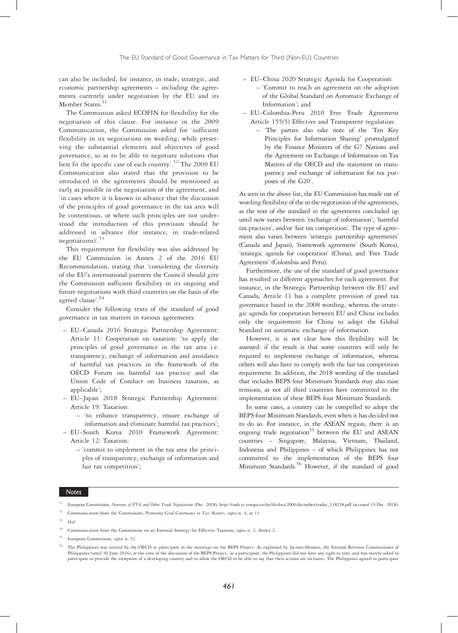can also be included, for instance, in trade, strategic, and economic partnership agreements – including the agreements currently under negotiation by the EU and its Member States.<sup>51</sup>

The Commission asked ECOFIN for flexibility for the negotiation of this clause. For instance in the 2009 Communication, the Commission asked for 'sufficient flexibility in its negotiations on wording, while preserving the substantial elements and objectives of good governance, so as to be able to negotiate solutions that best fit the specific case of each country'. <sup>52</sup> The 2009 EU Communication also stated that the provision to be introduced in the agreements should be mentioned as early as possible in the negotiation of the agreement, and 'in cases where it is known in advance that the discussion of the principles of good governance in the tax area will be contentious, or where such principles are not understood the introduction of this provision should be addressed in advance (for instance, in trade-related negotiations)'. 53

This requirement for flexibility was also addressed by the EU Commission in Annex 2 of the 2016 EU Recommendation, stating that 'considering the diversity of the EU's international partners the Council should give the Commission sufficient flexibility in its ongoing and future negotiations with third countries on the basis of the agreed clause'. 54

Consider the following texts of the standard of good governance in tax matters in various agreements:

- EU–Canada 2016 Strategic Partnership Agreement: Article 11: Cooperation on taxation: 'to apply the principles of good governance in the tax area i.e. transparency, exchange of information and avoidance of harmful tax practices in the framework of the OECD Forum on harmful tax practice and the Union Code of Conduct on business taxation, as applicable';
- EU–Japan 2018 Strategic Partnership Agreement: Article 19: Taxation:
	- 'to enhance transparency, ensure exchange of information and eliminate harmful tax practices';
- EU–South Korea 2010 Framework Agreement: Article 12: Taxation:
	- 'commit to implement in the tax area the principles of transparency, exchange of information and fair tax competition';
- EU–China 2020 Strategic Agenda for Cooperation: – 'Commit to reach an agreement on the adoption of the Global Standard on Automatic Exchange of Information'; and
- EU–Colombia-Peru 2010 Free Trade Agreement Article 155(5) Effective and Transparent regulation:
	- 'The parties also take note of the 'Ten Key Principles for Information Sharing' promulgated by the Finance Ministers of the G7 Nations and the Agreement on Exchange of Information on Tax Matters of the OECD and the statement on transparency and exchange of information for tax purposes of the G20'.

As seen in the above list, the EU Commission has made use of wording flexibility of the in the negotiation of the agreements, as the text of the standard in the agreements concluded up until now varies between 'exchange of information', 'harmful tax practices', and/or 'fair tax competition'. The type of agreement also varies between 'strategic partnership agreements' (Canada and Japan), 'framework agreement' (South Korea), 'strategic agenda for cooperation' (China), and 'Free Trade Agreement' (Colombia and Peru).

Furthermore, the use of the standard of good governance has resulted in different approaches for each agreement. For instance, in the Strategic Partnership between the EU and Canada, Article 11 has a complete provision of good tax governance based in the 2008 wording, whereas the strategic agenda for cooperation between EU and China includes only the requirement for China to adopt the Global Standard on automatic exchange of information.

However, it is not clear how this flexibility will be assessed: if the result is that some countries will only be required to implement exchange of information, whereas others will also have to comply with the fair tax competition requirement. In addition, the 2018 wording of the standard that includes BEPS four Minimum Standards may also raise tensions, as not all third countries have committed to the implementation of these BEPS four Minimum Standards.

In some cases, a country can be compelled to adopt the BEPS four Minimum Standards, even when it has decided not to do so. For instance, in the ASEAN region, there is an ongoing trade negotiation<sup>55</sup> between the EU and ASEAN countries – Singapore, Malaysia, Vietnam, Thailand, Indonesia and Philippines – of which Philippines has not committed to the implementation of the BEPS four Minimum Standards.<sup>56</sup> However, if the standard of good

- $16$ <sup>53</sup> Ibid.
- <sup>54</sup> Communication from the Commission on an External Strategy for Effective Taxation, *supra* n. 2, Annex 2.
- <sup>55</sup> European Commission, supra n. 51.
- <sup>56</sup> The Philippines was invited by the OECD to participate in the meetings on the BEPS Project. As explained by Jacinto-Henares, the Internal Revenue Commissioner of Philippines (until 30 June 2016), at the time of the di participate to provide the viewpoint of a developing country and to allow the OECD to be able to say that their actions are inclusive. The Philippines agreed to participate

European Commission, Overview of FTA and Other Trade Negotiations (Dec. 2018), http://trade.ec.europa.eu/doclib/docs/2006/december/tradoc\_118238.pdf (accessed 19 Dec. 2018).

<sup>&</sup>lt;sup>52</sup> Communication from the Commission, *Promoting Good Governance in Tax Matters, supra* n. 4, at 11.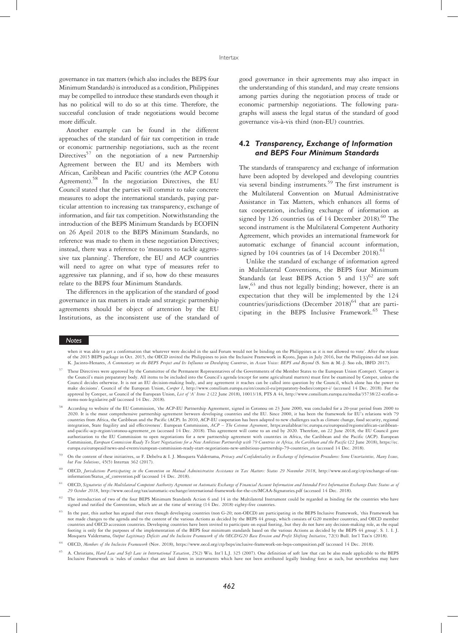governance in tax matters (which also includes the BEPS four Minimum Standards) is introduced as a condition, Philippines may be compelled to introduce these standards even though it has no political will to do so at this time. Therefore, the successful conclusion of trade negotiations would become more difficult.

Another example can be found in the different approaches of the standard of fair tax competition in trade or economic partnership negotiations, such as the recent Directives<sup>57</sup> on the negotiation of a new Partnership Agreement between the EU and its Members with African, Caribbean and Pacific countries (the ACP Cotonu Agreement).58 In the negotiation Directives, the EU Council stated that the parties will commit to take concrete measures to adopt the international standards, paying particular attention to increasing tax transparency, exchange of information, and fair tax competition. Notwithstanding the introduction of the BEPS Minimum Standards by ECOFIN on 26 April 2018 to the BEPS Minimum Standards, no reference was made to them in these negotiation Directives; instead, there was a reference to 'measures to tackle aggressive tax planning'. Therefore, the EU and ACP countries will need to agree on what type of measures refer to aggressive tax planning, and if so, how do these measures relate to the BEPS four Minimum Standards.

The differences in the application of the standard of good governance in tax matters in trade and strategic partnership agreements should be object of attention by the EU Institutions, as the inconsistent use of the standard of good governance in their agreements may also impact in the understanding of this standard, and may create tensions among parties during the negotiation process of trade or economic partnership negotiations. The following paragraphs will assess the legal status of the standard of good governance vis-à-vis third (non-EU) countries.

## 4.2 Transparency, Exchange of Information and BEPS Four Minimum Standards

The standards of transparency and exchange of information have been adopted by developed and developing countries via several binding instruments.59 The first instrument is the Multilateral Convention on Mutual Administrative Assistance in Tax Matters, which enhances all forms of tax cooperation, including exchange of information as signed by 126 countries (as of 14 December 2018).<sup>60</sup> The second instrument is the Multilateral Competent Authority Agreement, which provides an international framework for automatic exchange of financial account information, signed by  $104$  countries (as of  $14$  December 2018).<sup>61</sup>

Unlike the standard of exchange of information agreed in Multilateral Conventions, the BEPS four Minimum Standards (at least BEPS Action 5 and  $13)^{62}$  are soft law, $63$  and thus not legally binding; however, there is an expectation that they will be implemented by the 124 countries/jurisdictions (December 2018) $^{64}$  that are participating in the BEPS Inclusive Framework.<sup>65</sup> These

#### Notes

when it was able to get a confirmation that whatever were decided in the said Forum would not be binding on the Philippines as it is not allowed to vote'. After the release<br>of the 2015 BEPS package in Oct. 2015, the OECD i K. Jacinto-Henares, A Commentary on the BEPS Project and Its Influence on Developing Countries, in Asian Voices: BEPS and Beyond (S. Sim & M.-J. Soo eds, IBFD 2017).

On the content of these initiatives, see F. Debelva & I. J. Mosquera Valderrama, Privacy and Confidentiality in Exchange of Information Procedures: Some Uncertainties, Many Issues, but Few Solutions, 45(5) Intertax 362 (2017).

<sup>60</sup> OECD, Jurisdictions Participating in the Convention on Mutual Administrative Assistance in Tax Matters: Status 29 November 2018, http://www.oecd.org/ctp/exchange-of-taxinformation/Status\_of\_convention.pdf (accessed 14 Dec. 2018).

<sup>61</sup> OECD, Signatories of the Multilateral Competent Authority Agreement on Automatic Exchange of Financial Account Information and Intended First Information Exchange Date: Status as of 29 October 2018, http://www.oecd.org/tax/automatic-exchange/international-framework-for-the-crs/MCAA-Signatories.pdf (accessed 14 Dec. 2018).

 $62$  The introduction of two of the four BEPS Minimum Standards Action 6 and 14 in the Multilateral Instrument could be regarded as binding for the countries who have signed and ratified the Convention, which are at the time of writing (14 Dec. 2018) eighty-five countries.

In the past, this author has argued that even though developing countries (non G-20; non-OECD) are participating in the BEPS Inclusive Framework, 'this Framework has not made changes to the agenda and to the content of the various Actions as decided by the BEPS 44 group, which consists of G20 member countries, and OECD member countries and OECD accession countries. Developing countries have been invited to participate on equal footing, but they do not have any decision-making role, as the equal footing is only for the purposes of the implementation of the BEPS four minimum standards based on the various Actions as decided by the BEPS 44 group'. S. 1. I. J. Mosquera Valderrama, Output Legitimacy Deficits and the Inclusive Framework of the OECD/G20 Base Erosion and Profit Shifting Initiative, 72(3) Bull. Int'l Tax'n (2018).

<sup>57</sup> These Directives were approved by the Committee of the Permanent Representatives of the Governments of the Member States to the European Union (Coreper). 'Coreper is the Council's main preparatory body. All items to be included into the Council's agenda (except for some agricultural matters) must first be examined by Coreper, unless the Council decides otherwise. It is not an EU decision-making body, and any agreement it reaches can be called into question by the Council, which alone has the power to make decisions'. Council of the European Union, Coreper I, http://www.consilium.europa.eu/en/council-eu/preparatory-bodies/coreper-i/ (accessed 14 Dec. 2018). For the approval by Coreper, see Council of the European Union, List of 'A' Items 2 (22 June 2018), 10013/18, PTS A 44, http://www.consilium.europa.eu/media/35738/22-ecofin-aitems-non-legislative.pdf (accessed 14 Dec. 2018).

<sup>58</sup> According to website of the EU Commission, 'the ACP-EU Partnership Agreement, signed in Cotonou on 23 June 2000, was concluded for a 20-year period from 2000 to 2020. It is the most comprehensive partnership agreement between developing countries and the EU. Since 2000, it has been the framework for EU's relations with 79 countries from Africa, the Caribbean and the Pacific (ACP). In 2010, ACP-EU cooperation has been adapted to new challenges such as climate change, food security, regional integration, State fragility and aid effectiveness'. European Commission, ACP - The Cotonou Agreement, https:availableat//ec.europa.eu/europeaid/regions/african-caribbeanand-pacific-acp-region/cotonou-agreement\_en (accessed 14 Dec. 2018). This agreement will come to an end by 2020. Therefore, on 22 June 2018, the EU Council gave authorization to the EU Commission to open negotiations for a new partnership agreement with countries in Africa, the Caribbean and the Pacific (ACP). European Commission, European Commission Ready To Start Negotiations for a New Ambitious Partnership with 79 Countries in Africa, the Caribbean and the Pacific (22 June 2018), https://ec. europa.eu/europeaid/news-and-events/european-commission-ready-start-negotiations-new-ambitious-partnership-79-countries\_en (accessed 14 Dec. 2018).

<sup>64</sup> OECD, Members of the Inclusive Framework (Nov. 2018), https://www.oecd.org/ctp/beps/inclusive-framework-on-beps-composition.pdf (accessed 14 Dec. 2018).

<sup>65</sup> A. Christians, Hard Law and Soft Law in International Taxation, 25(2) Wis. Int'l L.J. 325 (2007). One definition of soft law that can be also made applicable to the BEPS Inclusive Framework is 'rules of conduct that are laid down in instruments which have not been attributed legally binding force as such, but nevertheless may have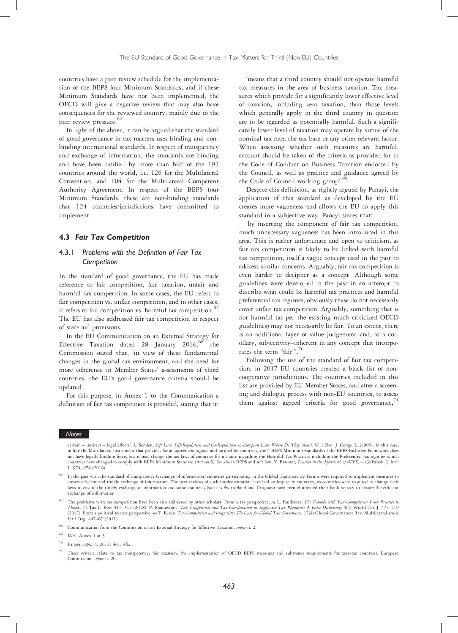countries have a peer review schedule for the implementation of the BEPS four Minimum Standards, and if these Minimum Standards have not been implemented, the OECD will give a negative review that may also have consequences for the reviewed country, mainly due to the peer review pressure.<sup>66</sup>

In light of the above, it can be argued that the standard of good governance in tax matters uses binding and nonbinding international standards. In respect of transparency and exchange of information, the standards are binding and have been ratified by more than half of the 193 countries around the world, i.e. 126 for the Multilateral Convention, and 104 for the Multilateral Competent Authority Agreement. In respect of the BEPS four Minimum Standards, these are non-binding standards that 124 countries/jurisdictions have committed to implement.

#### 4.3 Fair Tax Competition

## 4.3.1 Problems with the Definition of Fair Tax **Competition**

In the standard of good governance, the EU has made reference to fair competition, fair taxation, unfair and harmful tax competition. In some cases, the EU refers to fair competition vs. unfair competition, and in other cases, it refers to fair competition vs. harmful tax competition. $67$ The EU has also addressed fair tax competition in respect of state aid provisions.

In the EU Communication on an External Strategy for Effective Taxation dated 28 January 2016,<sup>68</sup> the Commission stated that, 'in view of these fundamental changes in the global tax environment, and the need for more coherence in Member States' assessments of third countries, the EU's good governance criteria should be updated'.

For this purpose, in Annex 1 to the Communication a definition of fair tax competition is provided, stating that it:

'means that a third country should not operate harmful tax measures in the area of business taxation. Tax measures which provide for a significantly lower effective level of taxation, including zero taxation, than those levels which generally apply in the third country in question are to be regarded as potentially harmful. Such a significantly lower level of taxation may operate by virtue of the nominal tax rate, the tax base or any other relevant factor. When assessing whether such measures are harmful, account should be taken of the criteria as provided for in the Code of Conduct on Business Taxation endorsed by the Council, as well as practice and guidance agreed by the Code of Council working group'. 69

Despite this definition, as rightly argued by Panayi, the application of this standard as developed by the EU creates more vagueness and allows the EU to apply this standard in a subjective way. Panayi states that:

'by inserting the component of fair tax competition, much unnecessary vagueness has been introduced in this area. This is rather unfortunate and open to criticism, as fair tax competition is likely to be linked with harmful tax competition, itself a vague concept used in the past to address similar concerns. Arguably, fair tax competition is even harder to decipher as a concept. Although some guidelines were developed in the past in an attempt to describe what could be harmful tax practices and harmful preferential tax regimes, obviously these do not necessarily cover unfair tax competition. Arguably, something that is not harmful (as per the existing much criticized OECD guidelines) may not necessarily be fair. To an extent, there is an additional layer of value judgement–and, as a corollary, subjectivity–inherent in any concept that incorporates the term "fair".<sup>70</sup>

Following the use of the standard of fair tax competition, in 2017 EU countries created a black list of noncooperative jurisdictions. The countries included in this list are provided by EU Member States, and after a screening and dialogue process with non-EU countries, to assess them against agreed criteria for good governance, $71$ 

#### **Notes**

certain - indirect - legal effects'. L. Senden, Soft Law, Self-Regulation and Co-Regulation in European Law: Where Do They Meet?, 9(1) Elec. J. Comp. L. (2005). In this case, unlike the Multilateral Instrument that provides for an agreement signed and ratified by countries, the 4 BEPS Minimum Standards of the BEPS Inclusive Framework does not have legally binding force, but it may change the tax laws of countries for instance regarding the Harmful Tax Practices including the Preferential tax regimes which countries have changed to comply with BEPS Minimum Standard (Action 5). See also in BEPS and soft law, Y. Brauner, Treaties in the Aftermath of BEPS, 41(3) Brook. J. Int'l L. 974, 978 (2016).

<sup>66</sup> In the past with the standard of transparency (exchange of information) countries participating in the Global Transparency Forum were required to implement measures to ensure efficient and timely exchange of information. The peer reviews of such implementation have had an impact in countries, as countries were required to change their laws to ensure the timely exchange of information and some countries (such as Switzerland and Uruguay) have even eliminated their bank secrecy to ensure the efficient exchange of information.

<sup>&</sup>lt;sup>67</sup> The problems with tax competition have been also addressed by other scholars. From a tax perspective, see L. Faulhaber, The Trouble with Tax Competition: From Practice to Theory, 71 Tax L. Rev. 311, 312 (2018); P. Piantavigna, Tax Competition and Tax Coordination in Aggressive Tax Planning: A False Dichotomy, 9(4) World Tax J. 477–519 (2017). From a political science perspective, see T. Rixen, Tax Competition and Inequality: The Case for Global Tax Governance, 17(4) Global Governance: Rev. Multilateralism & Int'l Org. 447–67 (2011).

<sup>&</sup>lt;sup>68</sup> Communication from the Commission on an External Strategy for Effective Taxation, supra n. 2.

 $69$  *Ibid.*, Annex 1 at 3.

Panayi, supra n. 26, at 461, 462.

These criteria relate to tax transparency, fair taxation, the implementation of OECD BEPS measures and substance requirements for zero-tax countries. European Commission, supra n. 20.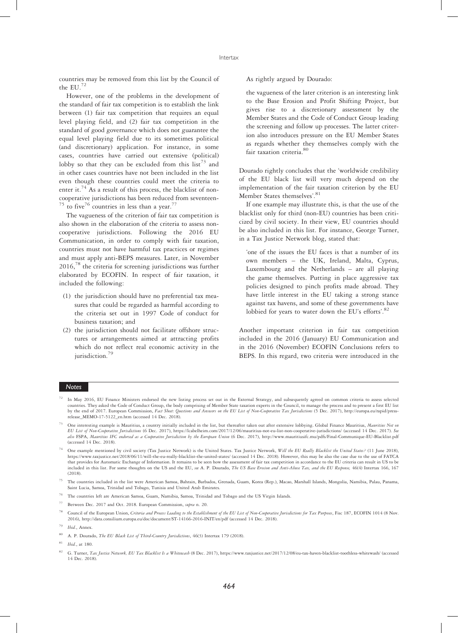countries may be removed from this list by the Council of the EU.<sup>72</sup>

However, one of the problems in the development of the standard of fair tax competition is to establish the link between (1) fair tax competition that requires an equal level playing field, and (2) fair tax competition in the standard of good governance which does not guarantee the equal level playing field due to its sometimes political (and discretionary) application. For instance, in some cases, countries have carried out extensive (political) lobby so that they can be excluded from this list<sup>73</sup> and in other cases countries have not been included in the list even though these countries could meet the criteria to enter it.<sup>74</sup> As a result of this process, the blacklist of noncooperative jurisdictions has been reduced from seventeen- $75$  to five<sup>76</sup> countries in less than a year.<sup>7</sup>

The vagueness of the criterion of fair tax competition is also shown in the elaboration of the criteria to assess noncooperative jurisdictions. Following the 2016 EU Communication, in order to comply with fair taxation, countries must not have harmful tax practices or regimes and must apply anti-BEPS measures. Later, in November 2016,<sup>78</sup> the criteria for screening jurisdictions was further elaborated by ECOFIN. In respect of fair taxation, it included the following:

- (1) the jurisdiction should have no preferential tax measures that could be regarded as harmful according to the criteria set out in 1997 Code of conduct for business taxation; and
- (2) the jurisdiction should not facilitate offshore structures or arrangements aimed at attracting profits which do not reflect real economic activity in the jurisdiction.<sup>79</sup>

#### As rightly argued by Dourado:

the vagueness of the later criterion is an interesting link to the Base Erosion and Profit Shifting Project, but gives rise to a discretionary assessment by the Member States and the Code of Conduct Group leading the screening and follow up processes. The latter criterion also introduces pressure on the EU Member States as regards whether they themselves comply with the fair taxation criteria. 80

Dourado rightly concludes that the 'worldwide credibility of the EU black list will very much depend on the implementation of the fair taxation criterion by the EU Member States themselves'.<sup>81</sup>

If one example may illustrate this, is that the use of the blacklist only for third (non-EU) countries has been criticized by civil society. In their view, EU countries should be also included in this list. For instance, George Turner, in a Tax Justice Network blog, stated that:

'one of the issues the EU faces is that a number of its own members – the UK, Ireland, Malta, Cyprus, Luxembourg and the Netherlands – are all playing the game themselves. Putting in place aggressive tax policies designed to pinch profits made abroad. They have little interest in the EU taking a strong stance against tax havens, and some of these governments have lobbied for years to water down the EU's efforts'.<sup>82</sup>

Another important criterion in fair tax competition included in the 2016 (January) EU Communication and in the 2016 (November) ECOFIN Conclusions refers to BEPS. In this regard, two criteria were introduced in the

#### Notes

- <sup>72</sup> In May 2016, EU Finance Ministers endorsed the new listing process set out in the External Strategy, and subsequently agreed on common criteria to assess selected countries. They asked the Code of Conduct Group, the body comprising of Member State taxation experts in the Council, to manage the process and to present a first EU list by the end of 2017. European Commission, Fact Sheet: Questions and Answers on the EU List of Non-Cooperative Tax Jurisdictions (5 Dec. 2017), http://europa.eu/rapid/pressrelease\_MEMO-17-5122\_en.htm (accessed 14 Dec. 2018).
- One interesting example is Mauritius, a country initially included in the list, but thereafter taken out after extensive lobbying. Global Finance Mauritius, Mauritius Not on EU List of Non-Cooperative Jurisdictions (6 Dec. 2017), https://lcabelheim.com/2017/12/06/mauritius-not-eu-list-non-cooperative-jurisdictions/ (accessed 14 Dec. 2017). See also FSPA, Mauritius IFC endorsed as a Cooperative Jurisdiction by the European Union (6 Dec. 2017), http://www.mauritiusifc.mu/pdfs/Final-Communique-EU-Blacklist.pdf (accessed 14 Dec. 2018).

<sup>75</sup> The countries included in the list were American Samoa, Bahrain, Barbados, Grenada, Guam, Korea (Rep.), Macao, Marshall Islands, Mongolia, Namibia, Palau, Panama, Saint Lucia, Samoa, Trinidad and Tobago, Tunisia and United Arab Emirates.

- <sup>76</sup> The countries left are American Samoa, Guam, Namibia, Samoa, Trinidad and Tobago and the US Virgin Islands.
- <sup>77</sup> Between Dec. 2017 and Oct. 2018. European Commission, supra n. 20.
- Council of the European Union, Criteria and Process Leading to the Establishment of the EU List of Non-Cooperative Jurisdictions for Tax Purposes, Fisc 187, ECOFIN 1014 (8 Nov. 2016), http://data.consilium.europa.eu/doc/document/ST-14166-2016-INIT/en/pdf (accessed 14 Dec. 2018).
- Ibid., Annex.
- <sup>80</sup> A. P. Dourado, The EU Black List of Third-Country Jurisdictions, 46(3) Intertax 179 (2018).
- $81$  *Ibid.*, at 180.

<sup>&</sup>lt;sup>74</sup> One example mentioned by civil society (Tax Justice Network) is the United States. Tax Justice Network, Will the EU Really Blacklist the United States? (11 June 2018).<br>https://www.taxjustice.net/2018/06/11/will-the-eu that provides for Automatic Exchange of Information. It remains to be seen how the assessment of fair tax competition in accordance to the EU criteria can result in US to be included in this list. For some thoughts on the US and the EU, see A. P. Dourado, The US Base Erosion and Anti-Abuse Tax, and the EU Response, 46(4) Intertax 166, 167 (2018).

G. Turner, Tax Justice Network, EU Tax Blacklist Is a Whitewash (8 Dec. 2017), https://www.taxjustice.net/2017/12/08/eu-tax-haven-blacklist-toothless-whitewash/ (accessed 14 Dec. 2018).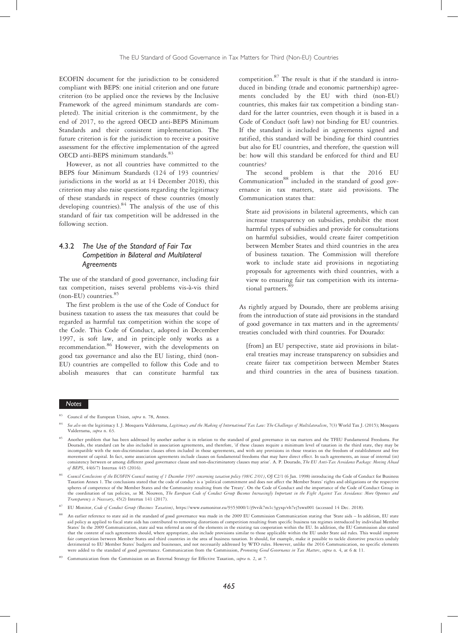ECOFIN document for the jurisdiction to be considered compliant with BEPS: one initial criterion and one future criterion (to be applied once the reviews by the Inclusive Framework of the agreed minimum standards are completed). The initial criterion is the commitment, by the end of 2017, to the agreed OECD anti-BEPS Minimum Standards and their consistent implementation. The future criterion is for the jurisdiction to receive a positive assessment for the effective implementation of the agreed OECD anti-BEPS minimum standards.<sup>83</sup>

However, as not all countries have committed to the BEPS four Minimum Standards (124 of 193 countries/ jurisdictions in the world as at 14 December 2018), this criterion may also raise questions regarding the legitimacy of these standards in respect of these countries (mostly developing countries).  $84 \text{ The analysis of the use of this}$ standard of fair tax competition will be addressed in the following section.

## 4.3.2 The Use of the Standard of Fair Tax Competition in Bilateral and Multilateral Agreements

The use of the standard of good governance, including fair tax competition, raises several problems vis-à-vis third  $(non-EU)$  countries.<sup>85</sup>

The first problem is the use of the Code of Conduct for business taxation to assess the tax measures that could be regarded as harmful tax competition within the scope of the Code. This Code of Conduct, adopted in December 1997, is soft law, and in principle only works as a recommendation.<sup>86</sup> However, with the developments on good tax governance and also the EU listing, third (non-EU) countries are compelled to follow this Code and to abolish measures that can constitute harmful tax

competition.<sup>87</sup> The result is that if the standard is introduced in binding (trade and economic partnership) agreements concluded by the EU with third (non-EU) countries, this makes fair tax competition a binding standard for the latter countries, even though it is based in a Code of Conduct (soft law) not binding for EU countries. If the standard is included in agreements signed and ratified, this standard will be binding for third countries but also for EU countries, and therefore, the question will be: how will this standard be enforced for third and EU countries?

The second problem is that the 2016 EU Communication<sup>88</sup> included in the standard of good governance in tax matters, state aid provisions. The Communication states that:

State aid provisions in bilateral agreements, which can increase transparency on subsidies, prohibit the most harmful types of subsidies and provide for consultations on harmful subsidies, would create fairer competition between Member States and third countries in the area of business taxation. The Commission will therefore work to include state aid provisions in negotiating proposals for agreements with third countries, with a view to ensuring fair tax competition with its international partners.<sup>8</sup>

As rightly argued by Dourado, there are problems arising from the introduction of state aid provisions in the standard of good governance in tax matters and in the agreements/ treaties concluded with third countries. For Dourado:

[from] an EU perspective, state aid provisions in bilateral treaties may increase transparency on subsidies and create fairer tax competition between Member States and third countries in the area of business taxation.

Council of the European Union, supra n. 78, Annex.

See also on the legitimacy I. J. Mosquera Valderrama, Legitimacy and the Making of International Tax Law: The Challenges of Multilateralism, 7(3) World Tax J. (2015); Mosquera Valderrama, supra n. 63.

<sup>85</sup> Another problem that has been addressed by another author is in relation to the standard of good governance in tax matters and the TFEU Fundamental Freedoms. For Dourado, the standard can be also included in association agreements, and therefore, 'if these clauses require a minimum level of taxation in the third state, they may be incompatible with the non-discrimination clauses often included in those agreements, and with any provisions in those treaties on the freedom of establishment and free movement of capital. In fact, some association agreements include clauses on fundamental freedoms that may have direct effect. In such agreements, an issue of internal (in) consistency between or among different good governance clause and non-discriminatory clauses may arise'. A. P. Dourado, The EU Anti-Tax Avoidance Package: Moving Ahead of BEPS, 44(6/7) Intertax 445 (2016).

<sup>86</sup> Council Conclusions of the ECOFIN Council meeting of 1 December 1997 concerning taxation policy (98/C 2/01), OJ C2/1 (6 Jan. 1998) introducing the Code of Conduct for Business Taxation Annex 1. The conclusions stated that the code of conduct is a 'political commitment and does not affect the Member States' rights and obligations or the respective spheres of competence of the Member States and the Community resulting from the Treaty'. On the Code of Conduct and the importance of the Code of Conduct Group in the coordination of tax policies, see M. Nouwen, The European Code of Conduct Group Becomes Increasingly Important in the Fight Against Tax Avoidance: More Openness and Transparency is Necessary, 45(2) Intertax 141 (2017).

EU Monitor, Code of Conduct Group (Business Taxation), https://www.eumonitor.eu/9353000/1/j9vvik7m1c3gyxp/vh7ej5swx001 (accessed 14 Dec. 2018).

<sup>88</sup> An earlier reference to state aid in the standard of good governance was made in the 2009 EU Commission Communication stating that 'State aids – In addition, EU state aid policy as applied to fiscal state aids has contributed to removing distortions of competition resulting from specific business tax regimes introduced by individual Member<br>States' In the 2009 Communication, state aid wa that the content of such agreements should, where appropriate, also include provisions similar to those applicable within the EU under State aid rules. This would improve fair competition between Member States and third countries in the area of business taxation. It should, for example, make it possible to tackle distortive practices unduly<br>detrimental to EU Member States' budgets and busin were added to the standard of good governance. Communication from the Commission, Promoting Good Governance in Tax Matters, supra n. 4, at 6 & 11.

Communication from the Commission on an External Strategy for Effective Taxation, supra n. 2, at 7.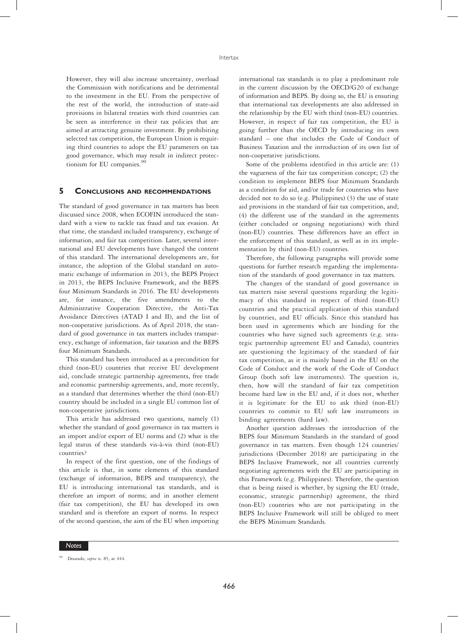However, they will also increase uncertainty, overload the Commission with notifications and be detrimental to the investment in the EU. From the perspective of the rest of the world, the introduction of state-aid provisions in bilateral treaties with third countries can be seen as interference in their tax policies that are aimed at attracting genuine investment. By prohibiting selected tax competition, the European Union is requiring third countries to adopt the EU parameters on tax good governance, which may result in indirect protectionism for EU companies.<sup>90</sup>

## 5 CONCLUSIONS AND RECOMMENDATIONS

The standard of good governance in tax matters has been discussed since 2008, when ECOFIN introduced the standard with a view to tackle tax fraud and tax evasion. At that time, the standard included transparency, exchange of information, and fair tax competition. Later, several international and EU developments have changed the content of this standard. The international developments are, for instance, the adoption of the Global standard on automatic exchange of information in 2013, the BEPS Project in 2013, the BEPS Inclusive Framework, and the BEPS four Minimum Standards in 2016. The EU developments are, for instance, the five amendments to the Administrative Cooperation Directive, the Anti-Tax Avoidance Directives (ATAD I and II), and the list of non-cooperative jurisdictions. As of April 2018, the standard of good governance in tax matters includes transparency, exchange of information, fair taxation and the BEPS four Minimum Standards.

This standard has been introduced as a precondition for third (non-EU) countries that receive EU development aid, conclude strategic partnership agreements, free trade and economic partnership agreements, and, more recently, as a standard that determines whether the third (non-EU) country should be included in a single EU common list of non-cooperative jurisdictions.

This article has addressed two questions, namely (1) whether the standard of good governance in tax matters is an import and/or export of EU norms and (2) what is the legal status of these standards vis-à-vis third (non-EU) countries?

In respect of the first question, one of the findings of this article is that, in some elements of this standard (exchange of information, BEPS and transparency), the EU is introducing international tax standards, and is therefore an import of norms; and in another element (fair tax competition), the EU has developed its own standard and is therefore an export of norms. In respect of the second question, the aim of the EU when importing

international tax standards is to play a predominant role in the current discussion by the OECD/G20 of exchange of information and BEPS. By doing so, the EU is ensuring that international tax developments are also addressed in the relationship by the EU with third (non-EU) countries. However, in respect of fair tax competition, the EU is going further than the OECD by introducing its own standard – one that includes the Code of Conduct of Business Taxation and the introduction of its own list of non-cooperative jurisdictions.

Some of the problems identified in this article are: (1) the vagueness of the fair tax competition concept; (2) the condition to implement BEPS four Minimum Standards as a condition for aid, and/or trade for countries who have decided not to do so (e.g. Philippines) (3) the use of state aid provisions in the standard of fair tax competition, and; (4) the different use of the standard in the agreements (either concluded or ongoing negotiations) with third (non-EU) countries. These differences have an effect in the enforcement of this standard, as well as in its implementation by third (non-EU) countries.

Therefore, the following paragraphs will provide some questions for further research regarding the implementation of the standards of good governance in tax matters.

The changes of the standard of good governance in tax matters raise several questions regarding the legitimacy of this standard in respect of third (non-EU) countries and the practical application of this standard by countries, and EU officials. Since this standard has been used in agreements which are binding for the countries who have signed such agreements (e.g. strategic partnership agreement EU and Canada), countries are questioning the legitimacy of the standard of fair tax competition, as it is mainly based in the EU on the Code of Conduct and the work of the Code of Conduct Group (both soft law instruments). The question is, then, how will the standard of fair tax competition become hard law in the EU and, if it does not, whether it is legitimate for the EU to ask third (non-EU) countries to commit to EU soft law instruments in binding agreements (hard law).

Another question addresses the introduction of the BEPS four Minimum Standards in the standard of good governance in tax matters. Even though 124 countries/ jurisdictions (December 2018) are participating in the BEPS Inclusive Framework, not all countries currently negotiating agreements with the EU are participating in this Framework (e.g. Philippines). Therefore, the question that is being raised is whether, by signing the EU (trade, economic, strategic partnership) agreement, the third (non-EU) countries who are not participating in the BEPS Inclusive Framework will still be obliged to meet the BEPS Minimum Standards.

Dourado, supra n. 85, at 444.